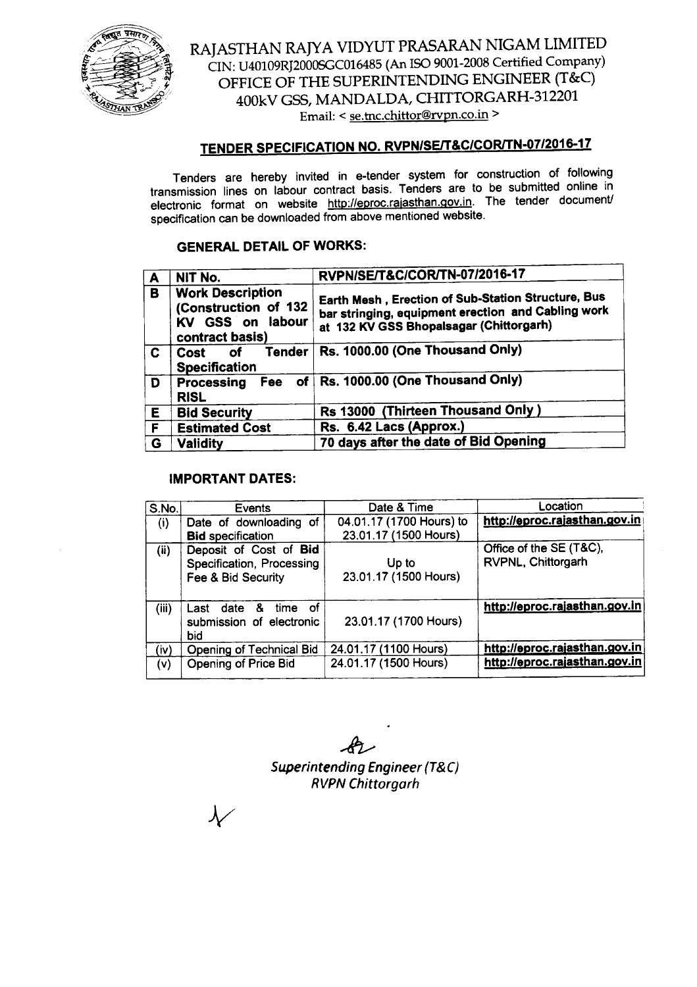

RAJASTHAN RAJYA VIDYUT PRASARAN NIGAM LIMITED CIN: U40109RJ200OSGCOl6485(An ISO 9001-2008 Certified Company) OFFICE OF THE SUPERINTENDING ENGINEER (T&C) 400kV GSS, MANDALDA, CHITTORGARH-312201 Email: < se.tnc.chittor@rvpn.co.in >

# TENDER SPECIFICATION NO. RVPN/SE/T&C/COR/TN-07/2016-17

Tenders are hereby invited in e-tender system for construction of following transmission lines on labour contract basis. Tenders are to be submitted online in electronic format on website http://eproc.rajasthan.gov.in. The tender document/ specification can be downloaded from above mentioned website.

# GENERAL DETAIL OF WORKS:

| A            | NIT No.                                                                                | RVPN/SE/T&C/COR/TN-07/2016-17                                                                                                                       |  |
|--------------|----------------------------------------------------------------------------------------|-----------------------------------------------------------------------------------------------------------------------------------------------------|--|
| B            | <b>Work Description</b><br>(Construction of 132<br>KV GSS on labour<br>contract basis) | Earth Mesh, Erection of Sub-Station Structure, Bus<br>bar stringing, equipment erection and Cabling work<br>at 132 KV GSS Bhopalsagar (Chittorgarh) |  |
| $\mathbf{c}$ | <b>Tender</b><br>Cost of<br><b>Specification</b>                                       | Rs. 1000.00 (One Thousand Only)                                                                                                                     |  |
| D            | <b>RISL</b>                                                                            | Processing Fee of Rs. 1000.00 (One Thousand Only)                                                                                                   |  |
| E            | <b>Bid Security</b>                                                                    | Rs 13000 (Thirteen Thousand Only)                                                                                                                   |  |
| F            | <b>Estimated Cost</b>                                                                  | Rs. 6.42 Lacs (Approx.)                                                                                                                             |  |
| G            | <b>Validity</b>                                                                        | 70 days after the date of Bid Opening                                                                                                               |  |

## IMPORTANT DATES:

| S.No. | Events                                                                    | Date & Time                                       | Location                                      |
|-------|---------------------------------------------------------------------------|---------------------------------------------------|-----------------------------------------------|
| (i)   | Date of downloading of<br><b>Bid specification</b>                        | 04.01.17 (1700 Hours) to<br>23.01.17 (1500 Hours) | http://eproc.rajasthan.gov.in                 |
| (ii)  | Deposit of Cost of Bid<br>Specification, Processing<br>Fee & Bid Security | Up to<br>23.01.17 (1500 Hours)                    | Office of the SE (T&C),<br>RVPNL, Chittorgarh |
| (iii) | Last date & time<br>- of<br>submission of electronic<br>bid               | 23.01.17 (1700 Hours)                             | http://eproc.rajasthan.gov.in                 |
| (iv)  | Opening of Technical Bid                                                  | 24.01.17 (1100 Hours)                             | http://eproc.rajasthan.gov.in                 |
| (v)   | Opening of Price Bid                                                      | 24.01.17 (1500 Hours)                             | http://eproc.rajasthan.gov.in                 |

~ *Superintending Engineer (T&C) RVPN Chittorgarh*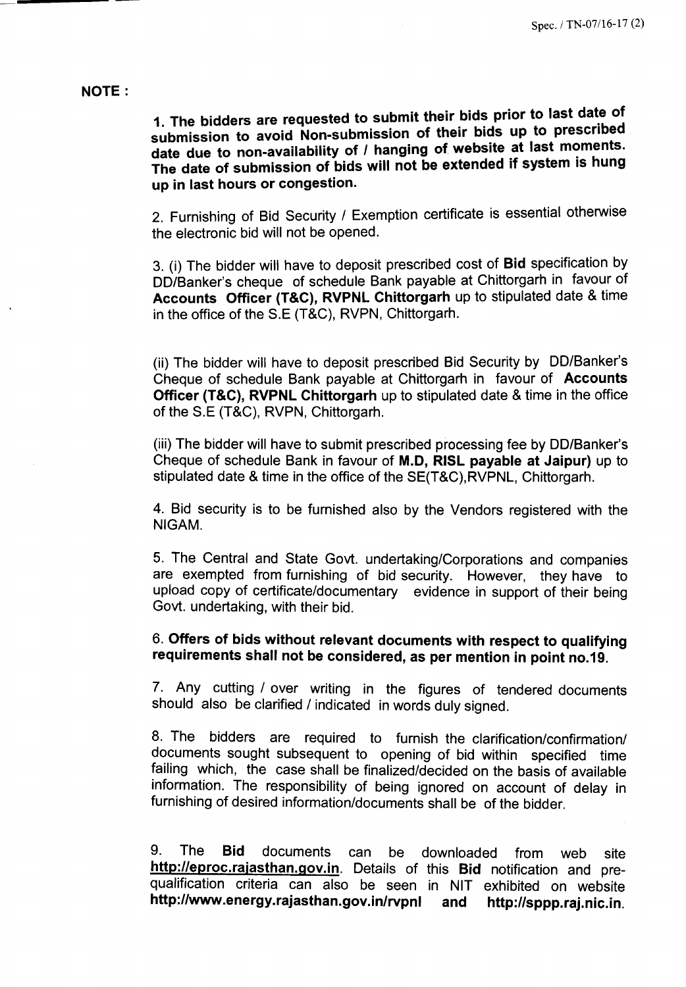## NOTE:

1. The bidders are requested to submit their bids prior to last date of submission to avoid Non-submission of their bids up to prescribed date due to non-availability of / hanging of website at last moments. The date of submission of bids will not be extended if system is hung up in last hours or congestion.

2. Furnishing of Bid Security / Exemption certificate is essential otherwise the electronic bid will not be opened.

3. (i) The bidder will have to deposit prescribed cost of Bid specification by DD/Banker's cheque of schedule Bank payable at Chittorgarh in favour of Accounts Officer (T&C), RVPNL Chittorgarh up to stipulated date & time in the office of the S.E (T&C), RVPN, Chittorgarh.

(ii) The bidder will have to deposit prescribed Bid Security by DO/Banker's Cheque of schedule Bank payable at Chittorgarh in favour of Accounts Officer (T&C), RVPNL Chittorgarh up to stipulated date & time in the office of the S.E (T&C), RVPN, Chittorgarh.

(iii) The bidder will have to submit prescribed processing fee by DO/Banker's Cheque of schedule Bank in favour of M.D, RISL payable at Jaipur) up to stipulated date & time in the office of the SE(T&C),RVPNL, Chittorgarh.

4. Bid security is to be furnished also by the Vendors registered with the NIGAM.

5. The Central and State Govt. undertaking/Corporations and companies are exempted from furnishing of bid security. However, they have to upload copy of certificate/documentary evidence in support of their being Govt. undertaking, with their bid.

6. Offers of bids without relevant documents with respect to qualifying requirements shall not be considered, as per mention in point no.19.

7. Any cutting / over writing in the figures of tendered documents should also be clarified / indicated in words duly signed.

8. The bidders are required to furnish the clarification/confirmation/ documents sought subsequent to opening of bid within specified time failing which, the case shall be finalized/decided on the basis of available information. The responsibility of being ignored on account of delay in furnishing of desired information/documents shall be of the bidder.

9. The Bid documents can be downloaded from web site http://eproc.rajasthan.gov.in. Details of this Bid notification and prequalification criteria can also be seen in NIT exhibited on website http://www.energy.rajasthan.gov.in/rvpnl and http://sppp.raj.nic.in.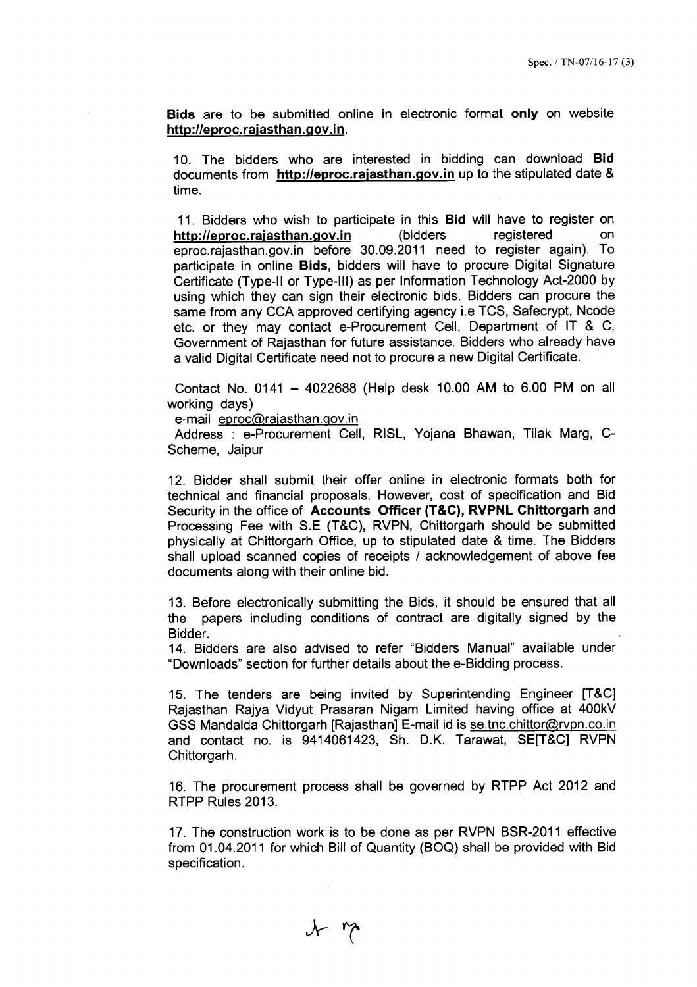Bids are to be submitted online in electronic format only on website http://eproc.rajasthan.gov.in.

10. The bidders who are interested in bidding can download Bid documents from http://eproc.rajasthan.gov.in up to the stipulated date & time.

11. Bidders who wish to participate in this Bid will have to register on http://eproc.rajasthan.gov.in (bidders registered on eproc.rajasthan.gov.in before 30.09.2011 need to register again). To participate in online Bids, bidders will have to procure Digital Signature Certificate (Type-II or Type-III) as per Information Technology Act-2000 by using which they can sign their electronic bids. Bidders can procure the same from any CCA approved certifying agency i.e TCS, Safecrypt, Ncode etc. or they may contact e-Procurement Cell, Department of IT & C, Government of Rajasthan for future assistance. Bidders who already have a valid Digital Certificate need not to procure a new Digital Certificate.

Contact No. 0141 - 4022688 (Help desk 10.00 AM to 6.00 PM on all working days)

e-mail eproc@rajasthan.gov.in

Address : e-Procurement Cell, RISL, Yojana Bhawan, Tilak Marg, C-Scheme, Jaipur

12. Bidder shall submit their offer online in electronic formats both for technical and financial proposals. However, cost of specification and Bid Security in the office of Accounts Officer (T&C), RVPNL Chittorgarh and Processing Fee with S.E (T&C), RVPN, Chittorgarh should be submitted physically at Chittorgarh Office, up to stipulated date & time. The Bidders shall upload scanned copies of receipts / acknowledgement of above fee documents along with their online bid.

13. Before electronically submitting the Bids, it should be ensured that all the papers including conditions of contract are digitally signed by the Bidder.

14. Bidders are also advised to refer "Bidders Manual" available under "Downloads" section for further details about the e-Bidding process.

15. The tenders are being invited by Superintending Engineer [T&C] Rajasthan Rajya Vidyut Prasaran Nigam Limited having office at 400kV GSS Mandalda Chittorgarh [Rajasthan] E-mail id is se.tnc.chittor@rvpn.co.in and contact no. is 9414061423, Sh. D.K. Tarawat, SE[T&C] RVPN Chittorgarh.

16. The procurement process shall be governed by RTPP Act 2012 and RTPP Rules 2013.

17. The construction work is to be done as per RVPN BSR-2011 effective from 01.04.2011 for which Bill of Quantity (BOQ) shall be provided with Bid specification.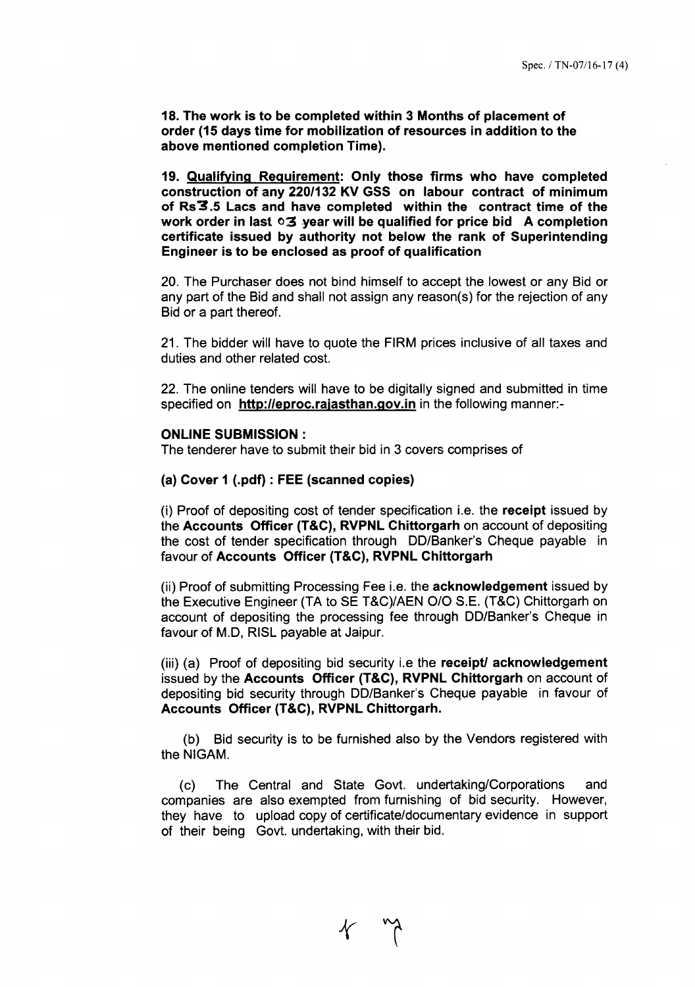18.The work is to be completed within 3 Months of placement of order (15 days time for mobilization of resources in addition to the above mentioned completion Time).

19. Qualifying Requirement: Only those firms who have completed construction of any *220/132* KV GSS on labour contract of minimum of Rs3.5 Lacs and have completed within the contract time of the work order in last  $\circ$ 3 year will be qualified for price bid A completion certificate issued by authority not below the rank of Superintending Engineer is to be enclosed as proof of qualification

20. The Purchaser does not bind himself to accept the lowest or any Bid or any part of the Bid and shall not assign any reason(s) for the rejection of any Bid or a part thereof.

21. The bidder will have to quote the FIRM prices inclusive of all taxes and duties and other related cost.

22. The online tenders will have to be digitally signed and submitted in time specified on http://eproc.rajasthan.gov.in in the following manner:-

#### **ONLINE SUBMISSION:**

The tenderer have to submit their bid in 3 covers comprises of

#### (a) Cover 1 (.pdf) : FEE(scanned copies)

(i) Proof of depositing cost of tender specification i.e. the receipt issued by the Accounts Officer (T&C), RVPNL Chittorgarh on account of depositing the cost of tender specification through DO/Banker's Cheque payable in favour of Accounts Officer (T&C), RVPNL Chittorgarh

(ii) Proof of submitting Processing Fee i.e. the acknowledgement issued by the Executive Engineer (TA to SE T&C)/AEN O/O S.E. (T&C) Chittorgarh on account of depositing the processing fee through DO/Banker's Cheque in favour of M.D, RISL payable at Jaipur.

(iii) (a) Proof of depositing bid security i.e the receipt/ acknowledgement issued by the Accounts Officer (T&C), RVPNL Chittorgarh on account of depositing bid security through DO/Banker's Cheque payable in favour of Accounts Officer (T&C), RVPNL Chittorgarh.

(b) Bid security is to be furnished also by the Vendors registered with the NIGAM.

(c) The Central and State Govt. undertaking/Corporations and companies are also exempted from furnishing of bid security. However, they have to upload copy of certificate/documentary evidence in support of their being Govt. undertaking, with their bid.